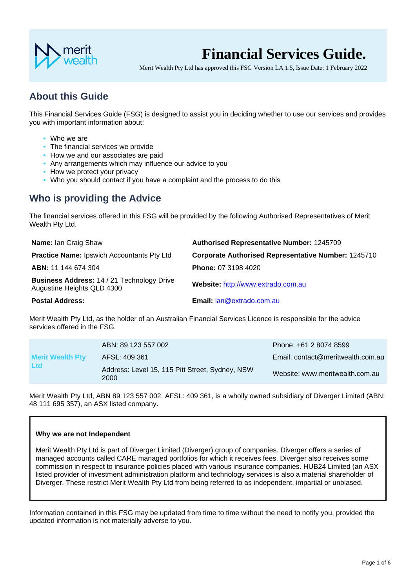

# **Financial Services Guide.**

Merit Wealth Pty Ltd has approved this FSG Version LA 1.5, Issue Date: 1 February 2022

# **About this Guide**

This Financial Services Guide (FSG) is designed to assist you in deciding whether to use our services and provides you with important information about:

- **•** Who we are
- **•** The financial services we provide
- **•** How we and our associates are paid
- **•** Any arrangements which may influence our advice to you
- **•** How we protect your privacy
- **•** Who you should contact if you have a complaint and the process to do this

# **Who is providing the Advice**

The financial services offered in this FSG will be provided by the following Authorised Representatives of Merit Wealth Pty Ltd.

| <b>Name: Ian Craig Shaw</b>                                              | <b>Authorised Representative Number: 1245709</b>           |
|--------------------------------------------------------------------------|------------------------------------------------------------|
| <b>Practice Name: Ipswich Accountants Pty Ltd</b>                        | <b>Corporate Authorised Representative Number: 1245710</b> |
| ABN: 11 144 674 304                                                      | <b>Phone: 07 3198 4020</b>                                 |
| Business Address: 14 / 21 Technology Drive<br>Augustine Heights QLD 4300 | Website: http://www.extrado.com.au                         |
| <b>Postal Address:</b>                                                   | Email: jan@extrado.com.au                                  |

Merit Wealth Pty Ltd, as the holder of an Australian Financial Services Licence is responsible for the advice services offered in the FSG.

|                                       | ABN: 89 123 557 002                                     | Phone: +61 2 8074 8599            |
|---------------------------------------|---------------------------------------------------------|-----------------------------------|
| <b>Merit Wealth Pty</b><br><b>Ltd</b> | AFSL: 409 361                                           | Email: contact@meritwealth.com.au |
|                                       | Address: Level 15, 115 Pitt Street, Sydney, NSW<br>2000 | Website: www.meritwealth.com.au   |

Merit Wealth Pty Ltd, ABN 89 123 557 002, AFSL: 409 361, is a wholly owned subsidiary of Diverger Limited (ABN: 48 111 695 357), an ASX listed company.

#### **Why we are not Independent**

Merit Wealth Pty Ltd is part of Diverger Limited (Diverger) group of companies. Diverger offers a series of managed accounts called CARE managed portfolios for which it receives fees. Diverger also receives some commission in respect to insurance policies placed with various insurance companies. HUB24 Limited (an ASX listed provider of investment administration platform and technology services is also a material shareholder of Diverger. These restrict Merit Wealth Pty Ltd from being referred to as independent, impartial or unbiased.

Information contained in this FSG may be updated from time to time without the need to notify you, provided the updated information is not materially adverse to you.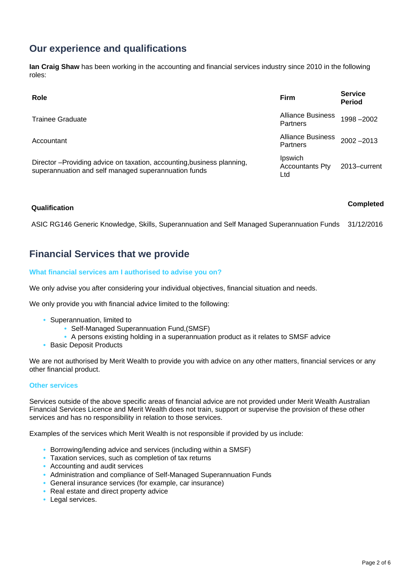# **Our experience and qualifications**

**Ian Craig Shaw** has been working in the accounting and financial services industry since 2010 in the following roles:

| Role                                                                                                                          | <b>Firm</b>                                 | <b>Service</b><br><b>Period</b> |
|-------------------------------------------------------------------------------------------------------------------------------|---------------------------------------------|---------------------------------|
| <b>Trainee Graduate</b>                                                                                                       | <b>Alliance Business</b><br>Partners        | 1998-2002                       |
| Accountant                                                                                                                    | <b>Alliance Business</b><br><b>Partners</b> | $2002 - 2013$                   |
| Director-Providing advice on taxation, accounting, business planning,<br>superannuation and self managed superannuation funds | Ipswich<br><b>Accountants Pty</b><br>Ltd    | 2013-current                    |

# **Qualification Completed**

ASIC RG146 Generic Knowledge, Skills, Superannuation and Self Managed Superannuation Funds 31/12/2016

### **Financial Services that we provide**

#### **What financial services am I authorised to advise you on?**

We only advise you after considering your individual objectives, financial situation and needs.

We only provide you with financial advice limited to the following:

- **•** Superannuation, limited to
	- **•** Self-Managed Superannuation Fund,(SMSF)
	- **•** A persons existing holding in a superannuation product as it relates to SMSF advice
- **•** Basic Deposit Products

We are not authorised by Merit Wealth to provide you with advice on any other matters, financial services or any other financial product.

#### **Other services**

Services outside of the above specific areas of financial advice are not provided under Merit Wealth Australian Financial Services Licence and Merit Wealth does not train, support or supervise the provision of these other services and has no responsibility in relation to those services.

Examples of the services which Merit Wealth is not responsible if provided by us include:

- **•** Borrowing/lending advice and services (including within a SMSF)
- **•** Taxation services, such as completion of tax returns
- **•** Accounting and audit services
- **•** Administration and compliance of Self-Managed Superannuation Funds
- **•** General insurance services (for example, car insurance)
- **•** Real estate and direct property advice
- **•** Legal services.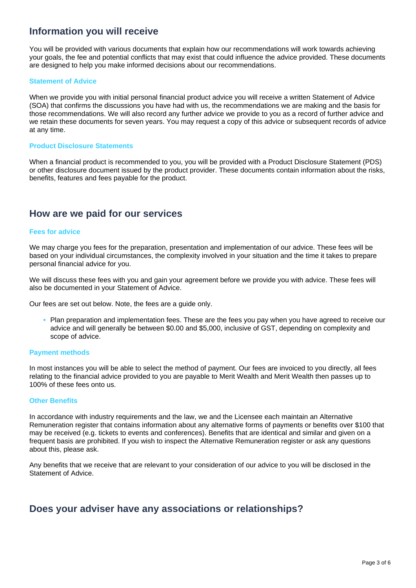### **Information you will receive**

You will be provided with various documents that explain how our recommendations will work towards achieving your goals, the fee and potential conflicts that may exist that could influence the advice provided. These documents are designed to help you make informed decisions about our recommendations.

#### **Statement of Advice**

When we provide you with initial personal financial product advice you will receive a written Statement of Advice (SOA) that confirms the discussions you have had with us, the recommendations we are making and the basis for those recommendations. We will also record any further advice we provide to you as a record of further advice and we retain these documents for seven years. You may request a copy of this advice or subsequent records of advice at any time.

#### **Product Disclosure Statements**

When a financial product is recommended to you, you will be provided with a Product Disclosure Statement (PDS) or other disclosure document issued by the product provider. These documents contain information about the risks, benefits, features and fees payable for the product.

#### **How are we paid for our services**

#### **Fees for advice**

We may charge you fees for the preparation, presentation and implementation of our advice. These fees will be based on your individual circumstances, the complexity involved in your situation and the time it takes to prepare personal financial advice for you.

We will discuss these fees with you and gain your agreement before we provide you with advice. These fees will also be documented in your Statement of Advice.

Our fees are set out below. Note, the fees are a guide only.

**•** Plan preparation and implementation fees. These are the fees you pay when you have agreed to receive our advice and will generally be between \$0.00 and \$5,000, inclusive of GST, depending on complexity and scope of advice.

#### **Payment methods**

In most instances you will be able to select the method of payment. Our fees are invoiced to you directly, all fees relating to the financial advice provided to you are payable to Merit Wealth and Merit Wealth then passes up to 100% of these fees onto us.

#### **Other Benefits**

In accordance with industry requirements and the law, we and the Licensee each maintain an Alternative Remuneration register that contains information about any alternative forms of payments or benefits over \$100 that may be received (e.g. tickets to events and conferences). Benefits that are identical and similar and given on a frequent basis are prohibited. If you wish to inspect the Alternative Remuneration register or ask any questions about this, please ask.

Any benefits that we receive that are relevant to your consideration of our advice to you will be disclosed in the Statement of Advice.

#### **Does your adviser have any associations or relationships?**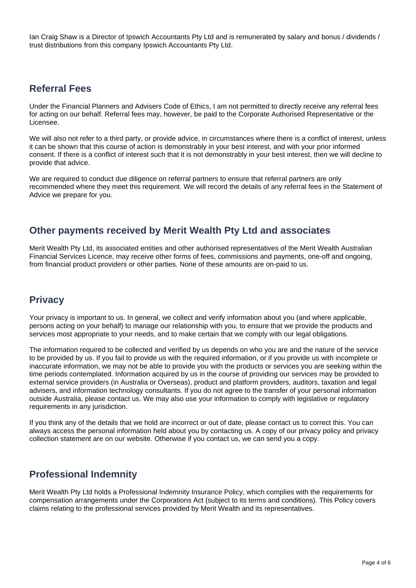Ian Craig Shaw is a Director of Ipswich Accountants Pty Ltd and is remunerated by salary and bonus / dividends / trust distributions from this company Ipswich Accountants Pty Ltd.

# **Referral Fees**

Under the Financial Planners and Advisers Code of Ethics, I am not permitted to directly receive any referral fees for acting on our behalf. Referral fees may, however, be paid to the Corporate Authorised Representative or the Licensee.

We will also not refer to a third party, or provide advice, in circumstances where there is a conflict of interest, unless it can be shown that this course of action is demonstrably in your best interest, and with your prior informed consent. If there is a conflict of interest such that it is not demonstrably in your best interest, then we will decline to provide that advice.

We are required to conduct due diligence on referral partners to ensure that referral partners are only recommended where they meet this requirement. We will record the details of any referral fees in the Statement of Advice we prepare for you.

### **Other payments received by Merit Wealth Pty Ltd and associates**

Merit Wealth Pty Ltd, its associated entities and other authorised representatives of the Merit Wealth Australian Financial Services Licence, may receive other forms of fees, commissions and payments, one-off and ongoing, from financial product providers or other parties. None of these amounts are on-paid to us.

#### **Privacy**

Your privacy is important to us. In general, we collect and verify information about you (and where applicable, persons acting on your behalf) to manage our relationship with you, to ensure that we provide the products and services most appropriate to your needs, and to make certain that we comply with our legal obligations.

The information required to be collected and verified by us depends on who you are and the nature of the service to be provided by us. If you fail to provide us with the required information, or if you provide us with incomplete or inaccurate information, we may not be able to provide you with the products or services you are seeking within the time periods contemplated. Information acquired by us in the course of providing our services may be provided to external service providers (in Australia or Overseas), product and platform providers, auditors, taxation and legal advisers, and information technology consultants. If you do not agree to the transfer of your personal information outside Australia, please contact us. We may also use your information to comply with legislative or regulatory requirements in any jurisdiction.

If you think any of the details that we hold are incorrect or out of date, please contact us to correct this. You can always access the personal information held about you by contacting us. A copy of our privacy policy and privacy collection statement are on our website. Otherwise if you contact us, we can send you a copy.

# **Professional Indemnity**

Merit Wealth Pty Ltd holds a Professional Indemnity Insurance Policy, which complies with the requirements for compensation arrangements under the Corporations Act (subject to its terms and conditions). This Policy covers claims relating to the professional services provided by Merit Wealth and its representatives.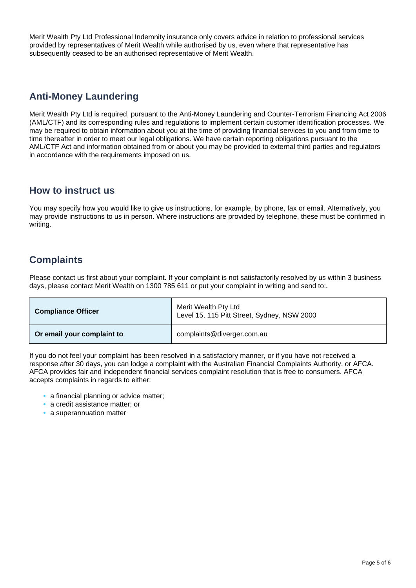Merit Wealth Pty Ltd Professional Indemnity insurance only covers advice in relation to professional services provided by representatives of Merit Wealth while authorised by us, even where that representative has subsequently ceased to be an authorised representative of Merit Wealth.

# **Anti-Money Laundering**

Merit Wealth Pty Ltd is required, pursuant to the Anti-Money Laundering and Counter-Terrorism Financing Act 2006 (AML/CTF) and its corresponding rules and regulations to implement certain customer identification processes. We may be required to obtain information about you at the time of providing financial services to you and from time to time thereafter in order to meet our legal obligations. We have certain reporting obligations pursuant to the AML/CTF Act and information obtained from or about you may be provided to external third parties and regulators in accordance with the requirements imposed on us.

#### **How to instruct us**

You may specify how you would like to give us instructions, for example, by phone, fax or email. Alternatively, you may provide instructions to us in person. Where instructions are provided by telephone, these must be confirmed in writing.

# **Complaints**

Please contact us first about your complaint. If your complaint is not satisfactorily resolved by us within 3 business days, please contact Merit Wealth on 1300 785 611 or put your complaint in writing and send to:.

| <b>Compliance Officer</b>  | Merit Wealth Pty Ltd<br>Level 15, 115 Pitt Street, Sydney, NSW 2000 |
|----------------------------|---------------------------------------------------------------------|
| Or email your complaint to | complaints@diverger.com.au                                          |

If you do not feel your complaint has been resolved in a satisfactory manner, or if you have not received a response after 30 days, you can lodge a complaint with the Australian Financial Complaints Authority, or AFCA. AFCA provides fair and independent financial services complaint resolution that is free to consumers. AFCA accepts complaints in regards to either:

- **•** a financial planning or advice matter;
- **•** a credit assistance matter; or
- **•** a superannuation matter